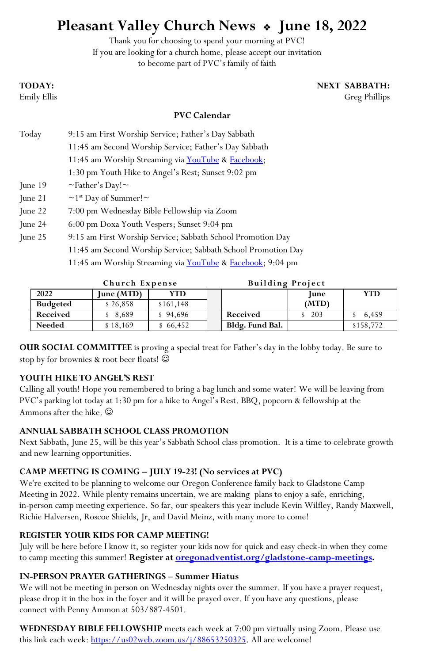# **Pleasant Valley Church News June 18, 2022**

Thank you for choosing to spend your morning at PVC! If you are looking for a church home, please accept our invitation to become part of PVC's family of faith

## **TODAY: NEXT SABBATH:**

Emily Ellis Greg Phillips

#### **PVC Calendar**

| Today             | 9:15 am First Worship Service; Father's Day Sabbath           |  |  |  |  |
|-------------------|---------------------------------------------------------------|--|--|--|--|
|                   | 11:45 am Second Worship Service; Father's Day Sabbath         |  |  |  |  |
|                   | 11:45 am Worship Streaming via <b>YouTube</b> & Facebook;     |  |  |  |  |
|                   | 1:30 pm Youth Hike to Angel's Rest; Sunset 9:02 pm            |  |  |  |  |
| $\lceil$ une 19   | $\sim$ Father's Day! $\sim$                                   |  |  |  |  |
| $\lceil$ une 21   | $\sim$ 1 <sup>st</sup> Day of Summer! $\sim$                  |  |  |  |  |
| $\lceil$ une 22   | 7:00 pm Wednesday Bible Fellowship via Zoom                   |  |  |  |  |
| $\text{June } 24$ | 6:00 pm Doxa Youth Vespers; Sunset 9:04 pm                    |  |  |  |  |
| $\mu$ and 25      | 9:15 am First Worship Service; Sabbath School Promotion Day   |  |  |  |  |
|                   | 11:45 am Second Worship Service; Sabbath School Promotion Day |  |  |  |  |

11:45 am Worship Streaming via **YouTube & Facebook**; 9:04 pm

|                 | Church Expense |           |  | <b>Building Project</b> |             |           |
|-----------------|----------------|-----------|--|-------------------------|-------------|-----------|
| 2022            | June (MTD)     | YTD       |  |                         | <b>June</b> | YTD       |
| <b>Budgeted</b> | \$26,858       | \$161.148 |  |                         | (MTD)       |           |
| Received        | \$8.689        | \$94,696  |  | Received                | 203         | 6.459     |
| Needed          | \$18,169       | 66,452    |  | Bldg. Fund Bal.         |             | \$158,772 |

**OUR SOCIAL COMMITTEE** is proving a special treat for Father's day in the lobby today. Be sure to stop by for brownies & root beer floats!

#### **YOUTH HIKE TO ANGEL'S REST**

Calling all youth! Hope you remembered to bring a bag lunch and some water! We will be leaving from PVC's parking lot today at 1:30 pm for a hike to Angel's Rest. BBQ, popcorn & fellowship at the Ammons after the hike.  $\odot$ 

#### **ANNUAL SABBATH SCHOOL CLASS PROMOTION**

Next Sabbath, June 25, will be this year's Sabbath School class promotion. It is a time to celebrate growth and new learning opportunities.

#### **CAMP MEETING IS COMING – JULY 19-23! (No services at PVC)**

We're excited to be planning to welcome our Oregon Conference family back to Gladstone Camp Meeting in 2022. While plenty remains uncertain, we are making plans to enjoy a safe, enriching, in-person camp meeting experience. So far, our speakers this year include Kevin Wilfley, Randy Maxwell, Richie Halversen, Roscoe Shields, Jr, and David Meinz, with many more to come!

#### **REGISTER YOUR KIDS FOR CAMP MEETING!**

July will be here before I know it, so register your kids now for quick and easy check-in when they come to camp meeting this summer! **Register at [oregonadventist.org/gladstone-camp-meetings.](https://www.oregonadventist.org/gladstone-camp-meetings)**

#### **IN-PERSON PRAYER GATHERINGS – Summer Hiatus**

We will not be meeting in person on Wednesday nights over the summer. If you have a prayer request, please drop it in the box in the foyer and it will be prayed over. If you have any questions, please connect with Penny Ammon at 503/887-4501.

**WEDNESDAY BIBLE FELLOWSHIP** meets each week at 7:00 pm virtually using Zoom. Please use this link each week: [https://us02web.zoom.us/j/88653250325.](https://us02web.zoom.us/j/88653250325) All are welcome!